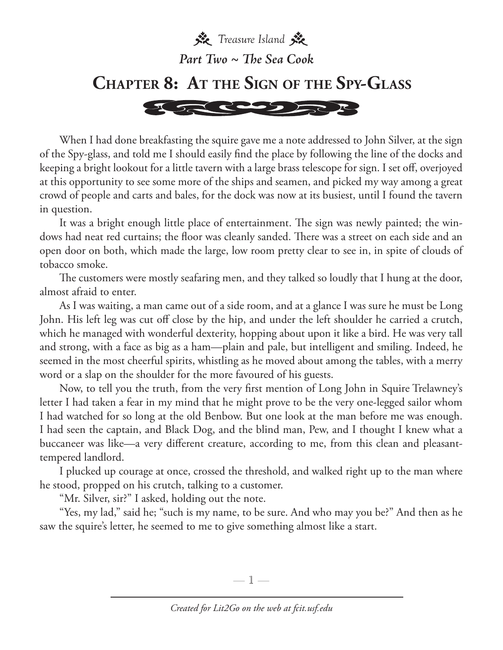

When I had done breakfasting the squire gave me a note addressed to John Silver, at the sign of the Spy-glass, and told me I should easily find the place by following the line of the docks and keeping a bright lookout for a little tavern with a large brass telescope for sign. I set off, overjoyed at this opportunity to see some more of the ships and seamen, and picked my way among a great crowd of people and carts and bales, for the dock was now at its busiest, until I found the tavern in question.

It was a bright enough little place of entertainment. The sign was newly painted; the windows had neat red curtains; the floor was cleanly sanded. There was a street on each side and an open door on both, which made the large, low room pretty clear to see in, in spite of clouds of tobacco smoke.

The customers were mostly seafaring men, and they talked so loudly that I hung at the door, almost afraid to enter.

As I was waiting, a man came out of a side room, and at a glance I was sure he must be Long John. His left leg was cut off close by the hip, and under the left shoulder he carried a crutch, which he managed with wonderful dexterity, hopping about upon it like a bird. He was very tall and strong, with a face as big as a ham—plain and pale, but intelligent and smiling. Indeed, he seemed in the most cheerful spirits, whistling as he moved about among the tables, with a merry word or a slap on the shoulder for the more favoured of his guests.

Now, to tell you the truth, from the very first mention of Long John in Squire Trelawney's letter I had taken a fear in my mind that he might prove to be the very one-legged sailor whom I had watched for so long at the old Benbow. But one look at the man before me was enough. I had seen the captain, and Black Dog, and the blind man, Pew, and I thought I knew what a buccaneer was like—a very different creature, according to me, from this clean and pleasanttempered landlord.

I plucked up courage at once, crossed the threshold, and walked right up to the man where he stood, propped on his crutch, talking to a customer.

"Mr. Silver, sir?" I asked, holding out the note.

"Yes, my lad," said he; "such is my name, to be sure. And who may you be?" And then as he saw the squire's letter, he seemed to me to give something almost like a start.

—  $\mathbb{1}$  —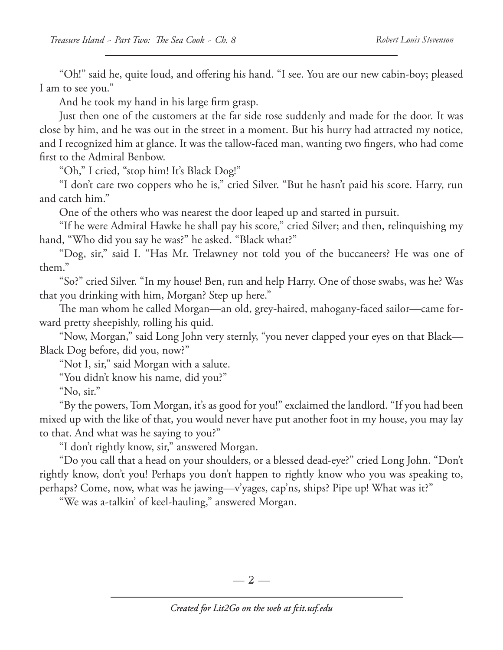"Oh!" said he, quite loud, and offering his hand. "I see. You are our new cabin-boy; pleased I am to see you."

And he took my hand in his large firm grasp.

Just then one of the customers at the far side rose suddenly and made for the door. It was close by him, and he was out in the street in a moment. But his hurry had attracted my notice, and I recognized him at glance. It was the tallow-faced man, wanting two fingers, who had come first to the Admiral Benbow.

"Oh," I cried, "stop him! It's Black Dog!"

"I don't care two coppers who he is," cried Silver. "But he hasn't paid his score. Harry, run and catch him."

One of the others who was nearest the door leaped up and started in pursuit.

"If he were Admiral Hawke he shall pay his score," cried Silver; and then, relinquishing my hand, "Who did you say he was?" he asked. "Black what?"

"Dog, sir," said I. "Has Mr. Trelawney not told you of the buccaneers? He was one of them."

"So?" cried Silver. "In my house! Ben, run and help Harry. One of those swabs, was he? Was that you drinking with him, Morgan? Step up here."

The man whom he called Morgan—an old, grey-haired, mahogany-faced sailor—came forward pretty sheepishly, rolling his quid.

"Now, Morgan," said Long John very sternly, "you never clapped your eyes on that Black— Black Dog before, did you, now?"

"Not I, sir," said Morgan with a salute.

"You didn't know his name, did you?"

"No, sir."

"By the powers, Tom Morgan, it's as good for you!" exclaimed the landlord. "If you had been mixed up with the like of that, you would never have put another foot in my house, you may lay to that. And what was he saying to you?"

"I don't rightly know, sir," answered Morgan.

"Do you call that a head on your shoulders, or a blessed dead-eye?" cried Long John. "Don't rightly know, don't you! Perhaps you don't happen to rightly know who you was speaking to, perhaps? Come, now, what was he jawing—v'yages, cap'ns, ships? Pipe up! What was it?"

"We was a-talkin' of keel-hauling," answered Morgan.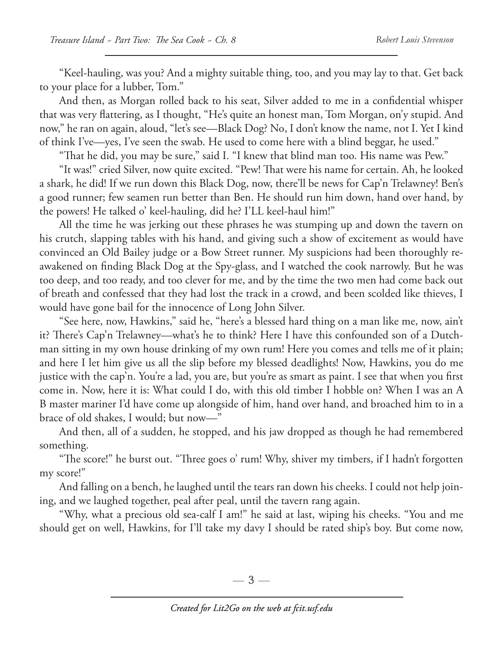"Keel-hauling, was you? And a mighty suitable thing, too, and you may lay to that. Get back to your place for a lubber, Tom."

And then, as Morgan rolled back to his seat, Silver added to me in a confidential whisper that was very flattering, as I thought, "He's quite an honest man, Tom Morgan, on'y stupid. And now," he ran on again, aloud, "let's see—Black Dog? No, I don't know the name, not I. Yet I kind of think I've—yes, I've seen the swab. He used to come here with a blind beggar, he used."

"That he did, you may be sure," said I. "I knew that blind man too. His name was Pew."

"It was!" cried Silver, now quite excited. "Pew! That were his name for certain. Ah, he looked a shark, he did! If we run down this Black Dog, now, there'll be news for Cap'n Trelawney! Ben's a good runner; few seamen run better than Ben. He should run him down, hand over hand, by the powers! He talked o' keel-hauling, did he? I'LL keel-haul him!"

All the time he was jerking out these phrases he was stumping up and down the tavern on his crutch, slapping tables with his hand, and giving such a show of excitement as would have convinced an Old Bailey judge or a Bow Street runner. My suspicions had been thoroughly reawakened on finding Black Dog at the Spy-glass, and I watched the cook narrowly. But he was too deep, and too ready, and too clever for me, and by the time the two men had come back out of breath and confessed that they had lost the track in a crowd, and been scolded like thieves, I would have gone bail for the innocence of Long John Silver.

"See here, now, Hawkins," said he, "here's a blessed hard thing on a man like me, now, ain't it? There's Cap'n Trelawney—what's he to think? Here I have this confounded son of a Dutchman sitting in my own house drinking of my own rum! Here you comes and tells me of it plain; and here I let him give us all the slip before my blessed deadlights! Now, Hawkins, you do me justice with the cap'n. You're a lad, you are, but you're as smart as paint. I see that when you first come in. Now, here it is: What could I do, with this old timber I hobble on? When I was an A B master mariner I'd have come up alongside of him, hand over hand, and broached him to in a brace of old shakes, I would; but now—"

And then, all of a sudden, he stopped, and his jaw dropped as though he had remembered something.

"The score!" he burst out. "Three goes o' rum! Why, shiver my timbers, if I hadn't forgotten my score!"

And falling on a bench, he laughed until the tears ran down his cheeks. I could not help joining, and we laughed together, peal after peal, until the tavern rang again.

"Why, what a precious old sea-calf I am!" he said at last, wiping his cheeks. "You and me should get on well, Hawkins, for I'll take my davy I should be rated ship's boy. But come now,

—  $3-$